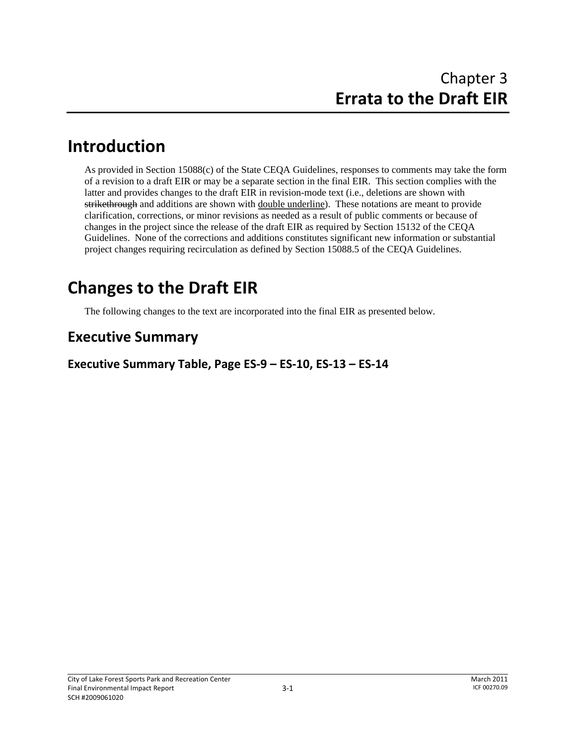# **Introduction**

As provided in Section 15088(c) of the State CEQA Guidelines, responses to comments may take the form of a revision to a draft EIR or may be a separate section in the final EIR. This section complies with the latter and provides changes to the draft EIR in revision-mode text (i.e., deletions are shown with strikethrough and additions are shown with <u>double underline</u>). These notations are meant to provide clarification, corrections, or minor revisions as needed as a result of public comments or because of changes in the project since the release of the draft EIR as required by Section 15132 of the CEQA Guidelines. None of the corrections and additions constitutes significant new information or substantial project changes requiring recirculation as defined by Section 15088.5 of the CEQA Guidelines.

# **Changes to the Draft EIR**

The following changes to the text are incorporated into the final EIR as presented below.

# **Executive Summary**

**Executive Summary Table, Page ES‐9 – ES‐10, ES‐13 – ES‐14**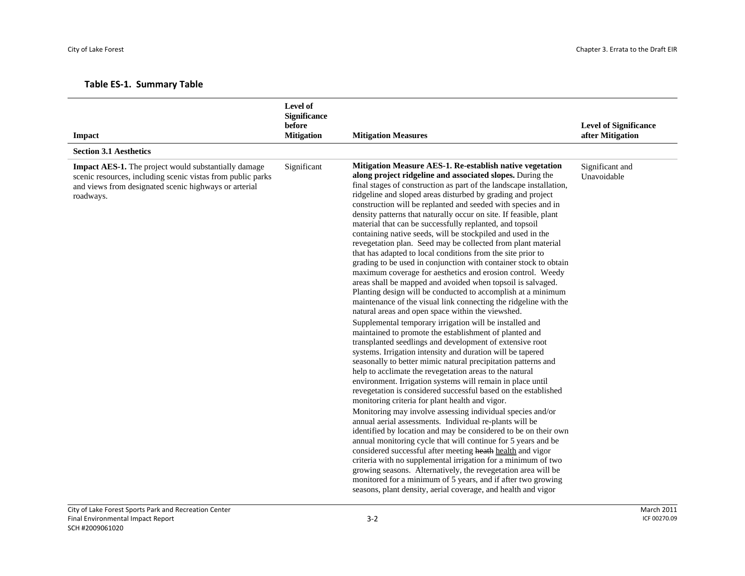|  |  |  | <b>Table ES-1. Summary Table</b> |  |
|--|--|--|----------------------------------|--|
|--|--|--|----------------------------------|--|

| Impact                                                                                                                                                                                    | Level of<br><b>Significance</b><br>before<br><b>Mitigation</b> | <b>Mitigation Measures</b>                                                                                                                                                                                                                                                                                                                                                                                                                                                                                                                                                                                                                                                                                                                                                                                                                                                                                                                                                                                                                                                                                                                                                                                                                                                                                                                                                                                                                                                                                                                                                                                                                                                                                                                                                                                                                                                                                                                                                                                                                                                                                                                                                                                        | <b>Level of Significance</b><br>after Mitigation |
|-------------------------------------------------------------------------------------------------------------------------------------------------------------------------------------------|----------------------------------------------------------------|-------------------------------------------------------------------------------------------------------------------------------------------------------------------------------------------------------------------------------------------------------------------------------------------------------------------------------------------------------------------------------------------------------------------------------------------------------------------------------------------------------------------------------------------------------------------------------------------------------------------------------------------------------------------------------------------------------------------------------------------------------------------------------------------------------------------------------------------------------------------------------------------------------------------------------------------------------------------------------------------------------------------------------------------------------------------------------------------------------------------------------------------------------------------------------------------------------------------------------------------------------------------------------------------------------------------------------------------------------------------------------------------------------------------------------------------------------------------------------------------------------------------------------------------------------------------------------------------------------------------------------------------------------------------------------------------------------------------------------------------------------------------------------------------------------------------------------------------------------------------------------------------------------------------------------------------------------------------------------------------------------------------------------------------------------------------------------------------------------------------------------------------------------------------------------------------------------------------|--------------------------------------------------|
| <b>Section 3.1 Aesthetics</b>                                                                                                                                                             |                                                                |                                                                                                                                                                                                                                                                                                                                                                                                                                                                                                                                                                                                                                                                                                                                                                                                                                                                                                                                                                                                                                                                                                                                                                                                                                                                                                                                                                                                                                                                                                                                                                                                                                                                                                                                                                                                                                                                                                                                                                                                                                                                                                                                                                                                                   |                                                  |
| Impact AES-1. The project would substantially damage<br>scenic resources, including scenic vistas from public parks<br>and views from designated scenic highways or arterial<br>roadways. | Significant                                                    | Mitigation Measure AES-1. Re-establish native vegetation<br>along project ridgeline and associated slopes. During the<br>final stages of construction as part of the landscape installation,<br>ridgeline and sloped areas disturbed by grading and project<br>construction will be replanted and seeded with species and in<br>density patterns that naturally occur on site. If feasible, plant<br>material that can be successfully replanted, and topsoil<br>containing native seeds, will be stockpiled and used in the<br>revegetation plan. Seed may be collected from plant material<br>that has adapted to local conditions from the site prior to<br>grading to be used in conjunction with container stock to obtain<br>maximum coverage for aesthetics and erosion control. Weedy<br>areas shall be mapped and avoided when topsoil is salvaged.<br>Planting design will be conducted to accomplish at a minimum<br>maintenance of the visual link connecting the ridgeline with the<br>natural areas and open space within the viewshed.<br>Supplemental temporary irrigation will be installed and<br>maintained to promote the establishment of planted and<br>transplanted seedlings and development of extensive root<br>systems. Irrigation intensity and duration will be tapered<br>seasonally to better mimic natural precipitation patterns and<br>help to acclimate the revegetation areas to the natural<br>environment. Irrigation systems will remain in place until<br>revegetation is considered successful based on the established<br>monitoring criteria for plant health and vigor.<br>Monitoring may involve assessing individual species and/or<br>annual aerial assessments. Individual re-plants will be<br>identified by location and may be considered to be on their own<br>annual monitoring cycle that will continue for 5 years and be<br>considered successful after meeting heath health and vigor<br>criteria with no supplemental irrigation for a minimum of two<br>growing seasons. Alternatively, the revegetation area will be<br>monitored for a minimum of 5 years, and if after two growing<br>seasons, plant density, aerial coverage, and health and vigor | Significant and<br>Unavoidable                   |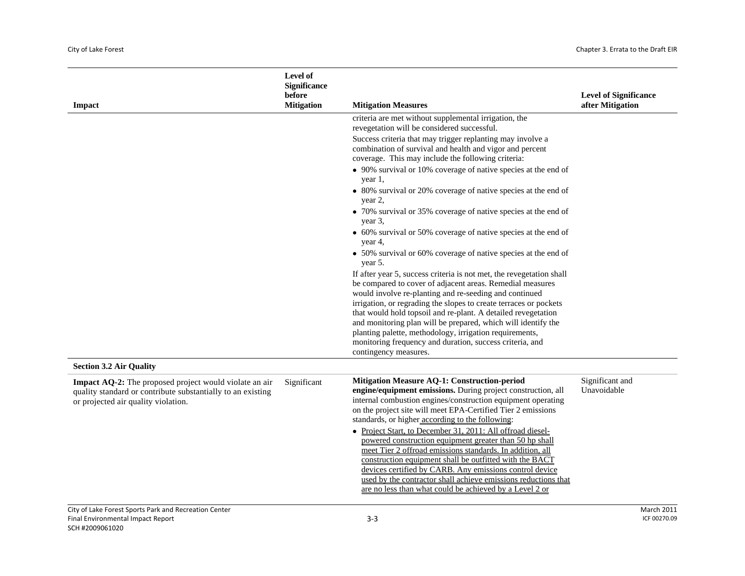|                                                                                                                                                              | Level of<br><b>Significance</b><br>before |                                                                                                                                                                                                                                                                                                                                                                                                                                                                                                                                                                                                                                                                                                                                           | <b>Level of Significance</b>   |
|--------------------------------------------------------------------------------------------------------------------------------------------------------------|-------------------------------------------|-------------------------------------------------------------------------------------------------------------------------------------------------------------------------------------------------------------------------------------------------------------------------------------------------------------------------------------------------------------------------------------------------------------------------------------------------------------------------------------------------------------------------------------------------------------------------------------------------------------------------------------------------------------------------------------------------------------------------------------------|--------------------------------|
| <b>Impact</b>                                                                                                                                                | <b>Mitigation</b>                         | <b>Mitigation Measures</b>                                                                                                                                                                                                                                                                                                                                                                                                                                                                                                                                                                                                                                                                                                                | after Mitigation               |
|                                                                                                                                                              |                                           | criteria are met without supplemental irrigation, the<br>revegetation will be considered successful.                                                                                                                                                                                                                                                                                                                                                                                                                                                                                                                                                                                                                                      |                                |
|                                                                                                                                                              |                                           | Success criteria that may trigger replanting may involve a<br>combination of survival and health and vigor and percent<br>coverage. This may include the following criteria:                                                                                                                                                                                                                                                                                                                                                                                                                                                                                                                                                              |                                |
|                                                                                                                                                              |                                           | • 90% survival or 10% coverage of native species at the end of<br>year 1,                                                                                                                                                                                                                                                                                                                                                                                                                                                                                                                                                                                                                                                                 |                                |
|                                                                                                                                                              |                                           | • 80% survival or 20% coverage of native species at the end of<br>year 2,                                                                                                                                                                                                                                                                                                                                                                                                                                                                                                                                                                                                                                                                 |                                |
|                                                                                                                                                              |                                           | • 70% survival or 35% coverage of native species at the end of<br>year 3,                                                                                                                                                                                                                                                                                                                                                                                                                                                                                                                                                                                                                                                                 |                                |
|                                                                                                                                                              |                                           | • 60% survival or 50% coverage of native species at the end of<br>year 4,                                                                                                                                                                                                                                                                                                                                                                                                                                                                                                                                                                                                                                                                 |                                |
|                                                                                                                                                              |                                           | • 50% survival or 60% coverage of native species at the end of<br>year 5.                                                                                                                                                                                                                                                                                                                                                                                                                                                                                                                                                                                                                                                                 |                                |
|                                                                                                                                                              |                                           | If after year 5, success criteria is not met, the revegetation shall<br>be compared to cover of adjacent areas. Remedial measures<br>would involve re-planting and re-seeding and continued                                                                                                                                                                                                                                                                                                                                                                                                                                                                                                                                               |                                |
|                                                                                                                                                              |                                           | irrigation, or regrading the slopes to create terraces or pockets<br>that would hold topsoil and re-plant. A detailed revegetation<br>and monitoring plan will be prepared, which will identify the<br>planting palette, methodology, irrigation requirements,<br>monitoring frequency and duration, success criteria, and<br>contingency measures.                                                                                                                                                                                                                                                                                                                                                                                       |                                |
| <b>Section 3.2 Air Quality</b>                                                                                                                               |                                           |                                                                                                                                                                                                                                                                                                                                                                                                                                                                                                                                                                                                                                                                                                                                           |                                |
| Impact AQ-2: The proposed project would violate an air<br>quality standard or contribute substantially to an existing<br>or projected air quality violation. | Significant                               | Mitigation Measure AQ-1: Construction-period<br>engine/equipment emissions. During project construction, all<br>internal combustion engines/construction equipment operating<br>on the project site will meet EPA-Certified Tier 2 emissions<br>standards, or higher according to the following:<br>• Project Start, to December 31, 2011: All offroad diesel-<br>powered construction equipment greater than 50 hp shall<br>meet Tier 2 offroad emissions standards. In addition, all<br>construction equipment shall be outfitted with the BACT<br>devices certified by CARB. Any emissions control device<br>used by the contractor shall achieve emissions reductions that<br>are no less than what could be achieved by a Level 2 or | Significant and<br>Unavoidable |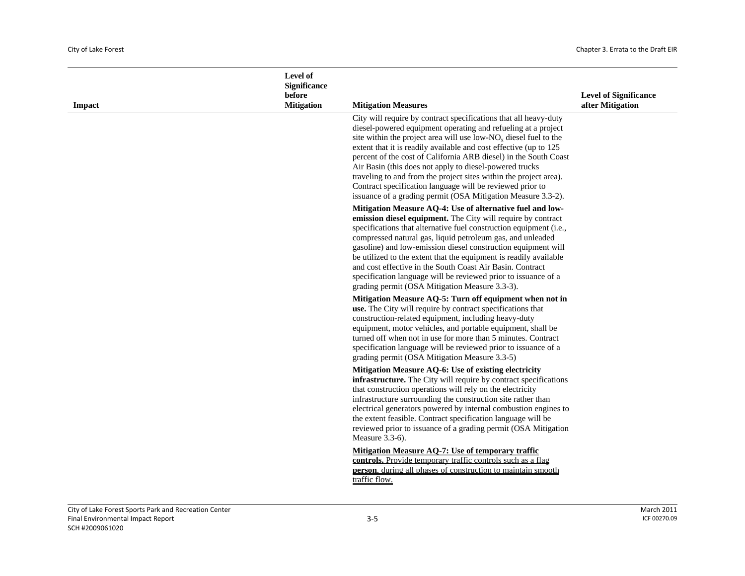| Impact | Level of<br><b>Significance</b><br>before<br><b>Mitigation</b> | <b>Mitigation Measures</b>                                                                                                                                                                                                                                                                                                                                                                                                                                                                                                                                                                                     | <b>Level of Significance</b><br>after Mitigation |
|--------|----------------------------------------------------------------|----------------------------------------------------------------------------------------------------------------------------------------------------------------------------------------------------------------------------------------------------------------------------------------------------------------------------------------------------------------------------------------------------------------------------------------------------------------------------------------------------------------------------------------------------------------------------------------------------------------|--------------------------------------------------|
|        |                                                                | City will require by contract specifications that all heavy-duty<br>diesel-powered equipment operating and refueling at a project<br>site within the project area will use low- $NOx$ diesel fuel to the<br>extent that it is readily available and cost effective (up to 125<br>percent of the cost of California ARB diesel) in the South Coast<br>Air Basin (this does not apply to diesel-powered trucks<br>traveling to and from the project sites within the project area).<br>Contract specification language will be reviewed prior to<br>issuance of a grading permit (OSA Mitigation Measure 3.3-2). |                                                  |
|        |                                                                | Mitigation Measure AQ-4: Use of alternative fuel and low-<br>emission diesel equipment. The City will require by contract<br>specifications that alternative fuel construction equipment (i.e.,<br>compressed natural gas, liquid petroleum gas, and unleaded<br>gasoline) and low-emission diesel construction equipment will<br>be utilized to the extent that the equipment is readily available<br>and cost effective in the South Coast Air Basin. Contract<br>specification language will be reviewed prior to issuance of a<br>grading permit (OSA Mitigation Measure 3.3-3).                           |                                                  |
|        |                                                                | Mitigation Measure AQ-5: Turn off equipment when not in<br>use. The City will require by contract specifications that<br>construction-related equipment, including heavy-duty<br>equipment, motor vehicles, and portable equipment, shall be<br>turned off when not in use for more than 5 minutes. Contract<br>specification language will be reviewed prior to issuance of a<br>grading permit (OSA Mitigation Measure 3.3-5)                                                                                                                                                                                |                                                  |
|        |                                                                | Mitigation Measure AQ-6: Use of existing electricity<br>infrastructure. The City will require by contract specifications<br>that construction operations will rely on the electricity<br>infrastructure surrounding the construction site rather than<br>electrical generators powered by internal combustion engines to<br>the extent feasible. Contract specification language will be<br>reviewed prior to issuance of a grading permit (OSA Mitigation<br>Measure 3.3-6).                                                                                                                                  |                                                  |
|        |                                                                | Mitigation Measure AQ-7: Use of temporary traffic<br>controls. Provide temporary traffic controls such as a flag<br><b>person</b> , during all phases of construction to maintain smooth<br>traffic flow.                                                                                                                                                                                                                                                                                                                                                                                                      |                                                  |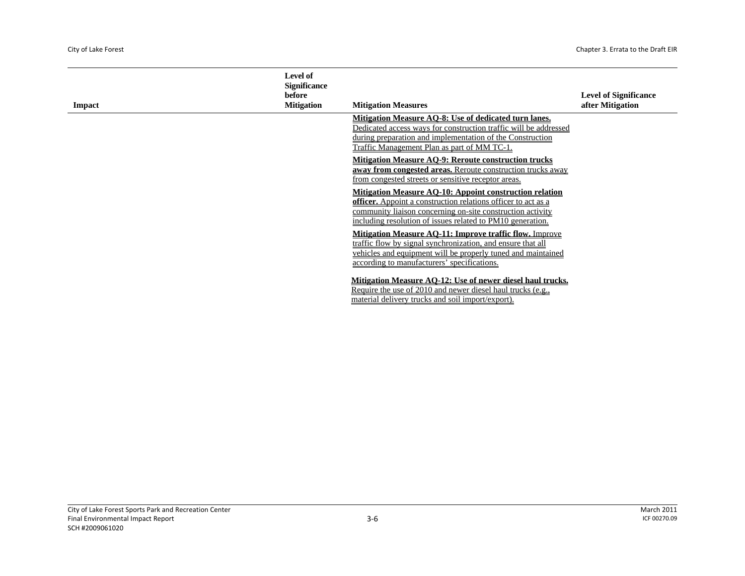| Impact | <b>Level of</b><br><b>Significance</b><br>before<br><b>Mitigation</b> | <b>Mitigation Measures</b>                                                                                                                                                                                                                                         | <b>Level of Significance</b><br>after Mitigation |
|--------|-----------------------------------------------------------------------|--------------------------------------------------------------------------------------------------------------------------------------------------------------------------------------------------------------------------------------------------------------------|--------------------------------------------------|
|        |                                                                       | Mitigation Measure AO-8: Use of dedicated turn lanes.<br>Dedicated access ways for construction traffic will be addressed<br>during preparation and implementation of the Construction<br>Traffic Management Plan as part of MM TC-1.                              |                                                  |
|        |                                                                       | <b>Mitigation Measure AO-9: Reroute construction trucks</b><br>away from congested areas. Reroute construction trucks away<br>from congested streets or sensitive receptor areas.                                                                                  |                                                  |
|        |                                                                       | <b>Mitigation Measure AO-10: Appoint construction relation</b><br><b>officer.</b> Appoint a construction relations officer to act as a<br>community liaison concerning on-site construction activity<br>including resolution of issues related to PM10 generation. |                                                  |
|        |                                                                       | <b>Mitigation Measure AO-11: Improve traffic flow. Improve</b><br>traffic flow by signal synchronization, and ensure that all<br>vehicles and equipment will be properly tuned and maintained<br>according to manufacturers' specifications.                       |                                                  |
|        |                                                                       | Mitigation Measure AO-12: Use of newer diesel haul trucks.<br>Require the use of 2010 and newer diesel haul trucks (e.g.,<br>material delivery trucks and soil import/export).                                                                                     |                                                  |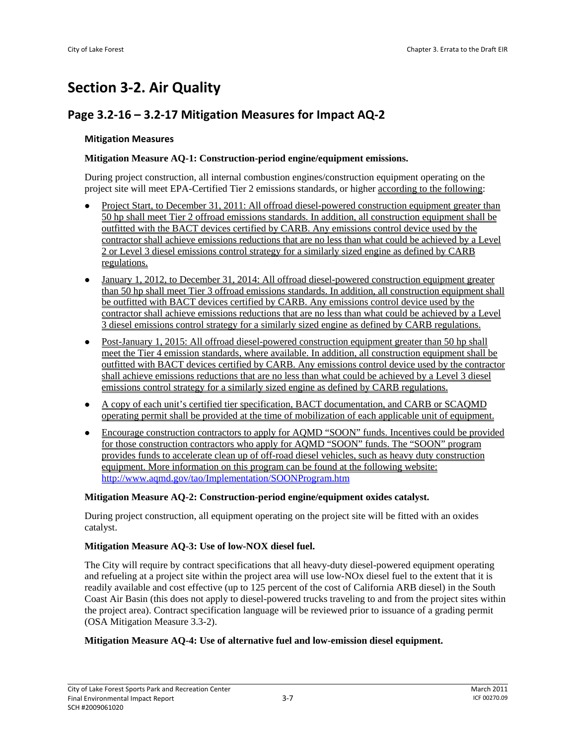# **Section 3‐2. Air Quality**

# **Page 3.2‐16 – 3.2‐17 Mitigation Measures for Impact AQ‐2**

#### **Mitigation Measures**

#### **Mitigation Measure AQ-1: Construction-period engine/equipment emissions.**

During project construction, all internal combustion engines/construction equipment operating on the project site will meet EPA-Certified Tier 2 emissions standards, or higher according to the following:

- Project Start, to December 31, 2011: All offroad diesel-powered construction equipment greater than 50 hp shall meet Tier 2 offroad emissions standards. In addition, all construction equipment shall be outfitted with the BACT devices certified by CARB. Any emissions control device used by the contractor shall achieve emissions reductions that are no less than what could be achieved by a Level 2 or Level 3 diesel emissions control strategy for a similarly sized engine as defined by CARB regulations.
- January 1, 2012, to December 31, 2014: All offroad diesel-powered construction equipment greater than 50 hp shall meet Tier 3 offroad emissions standards. In addition, all construction equipment shall be outfitted with BACT devices certified by CARB. Any emissions control device used by the contractor shall achieve emissions reductions that are no less than what could be achieved by a Level 3 diesel emissions control strategy for a similarly sized engine as defined by CARB regulations.
- Post-January 1, 2015: All offroad diesel-powered construction equipment greater than 50 hp shall meet the Tier 4 emission standards, where available. In addition, all construction equipment shall be outfitted with BACT devices certified by CARB. Any emissions control device used by the contractor shall achieve emissions reductions that are no less than what could be achieved by a Level 3 diesel emissions control strategy for a similarly sized engine as defined by CARB regulations.
- z A copy of each unit's certified tier specification, BACT documentation, and CARB or SCAQMD operating permit shall be provided at the time of mobilization of each applicable unit of equipment.
- Encourage construction contractors to apply for AQMD "SOON" funds. Incentives could be provided for those construction contractors who apply for AQMD "SOON" funds. The "SOON" program provides funds to accelerate clean up of off-road diesel vehicles, such as heavy duty construction equipment. More information on this program can be found at the following website: http://www.aqmd.gov/tao/Implementation/SOONProgram.htm

#### **Mitigation Measure AQ-2: Construction-period engine/equipment oxides catalyst.**

During project construction, all equipment operating on the project site will be fitted with an oxides catalyst.

#### **Mitigation Measure AQ-3: Use of low-NOX diesel fuel.**

The City will require by contract specifications that all heavy-duty diesel-powered equipment operating and refueling at a project site within the project area will use low-NOx diesel fuel to the extent that it is readily available and cost effective (up to 125 percent of the cost of California ARB diesel) in the South Coast Air Basin (this does not apply to diesel-powered trucks traveling to and from the project sites within the project area). Contract specification language will be reviewed prior to issuance of a grading permit (OSA Mitigation Measure 3.3-2).

#### **Mitigation Measure AQ-4: Use of alternative fuel and low-emission diesel equipment.**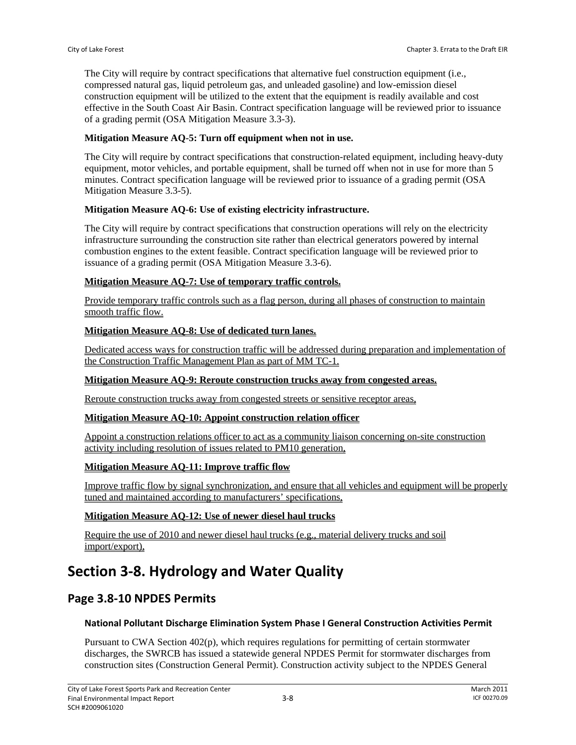The City will require by contract specifications that alternative fuel construction equipment (i.e., compressed natural gas, liquid petroleum gas, and unleaded gasoline) and low-emission diesel construction equipment will be utilized to the extent that the equipment is readily available and cost effective in the South Coast Air Basin. Contract specification language will be reviewed prior to issuance of a grading permit (OSA Mitigation Measure 3.3-3).

#### **Mitigation Measure AQ-5: Turn off equipment when not in use.**

The City will require by contract specifications that construction-related equipment, including heavy-duty equipment, motor vehicles, and portable equipment, shall be turned off when not in use for more than 5 minutes. Contract specification language will be reviewed prior to issuance of a grading permit (OSA Mitigation Measure 3.3-5).

#### **Mitigation Measure AQ-6: Use of existing electricity infrastructure.**

The City will require by contract specifications that construction operations will rely on the electricity infrastructure surrounding the construction site rather than electrical generators powered by internal combustion engines to the extent feasible. Contract specification language will be reviewed prior to issuance of a grading permit (OSA Mitigation Measure 3.3-6).

#### **Mitigation Measure AQ-7: Use of temporary traffic controls.**

Provide temporary traffic controls such as a flag person, during all phases of construction to maintain smooth traffic flow.

#### **Mitigation Measure AQ-8: Use of dedicated turn lanes.**

Dedicated access ways for construction traffic will be addressed during preparation and implementation of the Construction Traffic Management Plan as part of MM TC-1.

#### **Mitigation Measure AQ-9: Reroute construction trucks away from congested areas.**

Reroute construction trucks away from congested streets or sensitive receptor areas,

#### **Mitigation Measure AQ-10: Appoint construction relation officer**

Appoint a construction relations officer to act as a community liaison concerning on-site construction activity including resolution of issues related to PM10 generation,

#### **Mitigation Measure AQ-11: Improve traffic flow**

Improve traffic flow by signal synchronization, and ensure that all vehicles and equipment will be properly tuned and maintained according to manufacturers' specifications,

#### **Mitigation Measure AQ-12: Use of newer diesel haul trucks**

Require the use of 2010 and newer diesel haul trucks (e.g., material delivery trucks and soil import/export),

# **Section 3‐8. Hydrology and Water Quality**

## **Page 3.8‐10 NPDES Permits**

#### **National Pollutant Discharge Elimination System Phase I General Construction Activities Permit**

Pursuant to CWA Section 402(p), which requires regulations for permitting of certain stormwater discharges, the SWRCB has issued a statewide general NPDES Permit for stormwater discharges from construction sites (Construction General Permit). Construction activity subject to the NPDES General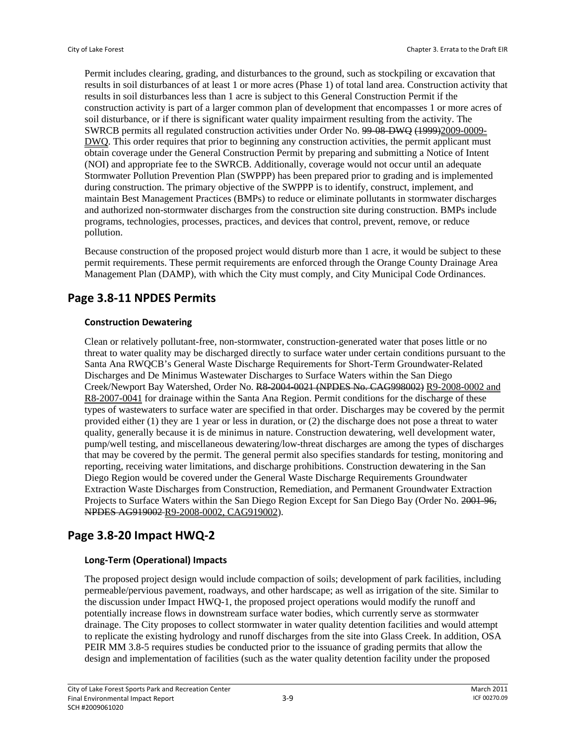Permit includes clearing, grading, and disturbances to the ground, such as stockpiling or excavation that results in soil disturbances of at least 1 or more acres (Phase 1) of total land area. Construction activity that results in soil disturbances less than 1 acre is subject to this General Construction Permit if the construction activity is part of a larger common plan of development that encompasses 1 or more acres of soil disturbance, or if there is significant water quality impairment resulting from the activity. The SWRCB permits all regulated construction activities under Order No. 99-08-DWQ (1999)2009-0009- DWQ. This order requires that prior to beginning any construction activities, the permit applicant must obtain coverage under the General Construction Permit by preparing and submitting a Notice of Intent (NOI) and appropriate fee to the SWRCB. Additionally, coverage would not occur until an adequate Stormwater Pollution Prevention Plan (SWPPP) has been prepared prior to grading and is implemented during construction. The primary objective of the SWPPP is to identify, construct, implement, and maintain Best Management Practices (BMPs) to reduce or eliminate pollutants in stormwater discharges and authorized non-stormwater discharges from the construction site during construction. BMPs include programs, technologies, processes, practices, and devices that control, prevent, remove, or reduce pollution.

Because construction of the proposed project would disturb more than 1 acre, it would be subject to these permit requirements. These permit requirements are enforced through the Orange County Drainage Area Management Plan (DAMP), with which the City must comply, and City Municipal Code Ordinances.

## **Page 3.8‐11 NPDES Permits**

#### **Construction Dewatering**

Clean or relatively pollutant-free, non-stormwater, construction-generated water that poses little or no threat to water quality may be discharged directly to surface water under certain conditions pursuant to the Santa Ana RWQCB's General Waste Discharge Requirements for Short-Term Groundwater-Related Discharges and De Minimus Wastewater Discharges to Surface Waters within the San Diego Creek/Newport Bay Watershed, Order No. R8-2004-0021 (NPDES No. CAG998002) R9-2008-0002 and R8-2007-0041 for drainage within the Santa Ana Region. Permit conditions for the discharge of these types of wastewaters to surface water are specified in that order. Discharges may be covered by the permit provided either (1) they are 1 year or less in duration, or (2) the discharge does not pose a threat to water quality, generally because it is de minimus in nature. Construction dewatering, well development water, pump/well testing, and miscellaneous dewatering/low-threat discharges are among the types of discharges that may be covered by the permit. The general permit also specifies standards for testing, monitoring and reporting, receiving water limitations, and discharge prohibitions. Construction dewatering in the San Diego Region would be covered under the General Waste Discharge Requirements Groundwater Extraction Waste Discharges from Construction, Remediation, and Permanent Groundwater Extraction Projects to Surface Waters within the San Diego Region Except for San Diego Bay (Order No. 2001-96, NPDES AG919002 R9-2008-0002, CAG919002).

## **Page 3.8‐20 Impact HWQ‐2**

### **Long‐Term (Operational) Impacts**

The proposed project design would include compaction of soils; development of park facilities, including permeable/pervious pavement, roadways, and other hardscape; as well as irrigation of the site. Similar to the discussion under Impact HWQ-1, the proposed project operations would modify the runoff and potentially increase flows in downstream surface water bodies, which currently serve as stormwater drainage. The City proposes to collect stormwater in water quality detention facilities and would attempt to replicate the existing hydrology and runoff discharges from the site into Glass Creek. In addition, OSA PEIR MM 3.8-5 requires studies be conducted prior to the issuance of grading permits that allow the design and implementation of facilities (such as the water quality detention facility under the proposed